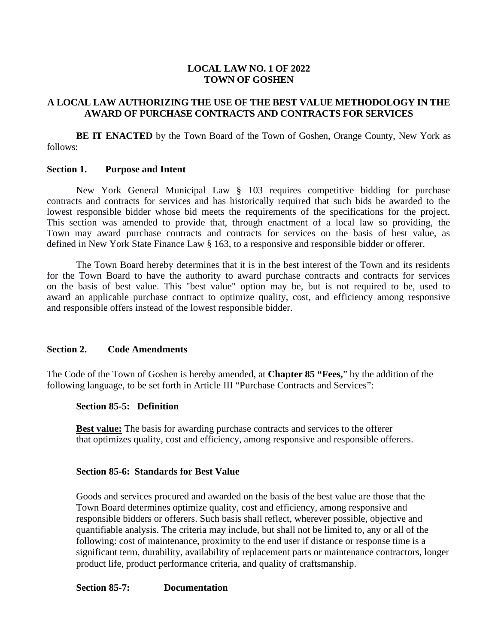## **LOCAL LAW NO. 1 OF 2022 TOWN OF GOSHEN**

## **A LOCAL LAW AUTHORIZING THE USE OF THE BEST VALUE METHODOLOGY IN THE AWARD OF PURCHASE CONTRACTS AND CONTRACTS FOR SERVICES**

**BE IT ENACTED** by the Town Board of the Town of Goshen, Orange County, New York as follows:

#### **Section 1. Purpose and Intent**

New York General Municipal Law § 103 requires competitive bidding for purchase contracts and contracts for services and has historically required that such bids be awarded to the lowest responsible bidder whose bid meets the requirements of the specifications for the project. This section was amended to provide that, through enactment of a local law so providing, the Town may award purchase contracts and contracts for services on the basis of best value, as defined in New York State Finance Law § 163, to a responsive and responsible bidder or offerer.

The Town Board hereby determines that it is in the best interest of the Town and its residents for the Town Board to have the authority to award purchase contracts and contracts for services on the basis of best value. This "best value" option may be, but is not required to be, used to award an applicable purchase contract to optimize quality, cost, and efficiency among responsive and responsible offers instead of the lowest responsible bidder.

# **Section 2. Code Amendments**

The Code of the Town of Goshen is hereby amended, at **Chapter 85 "Fees,**" by the addition of the following language, to be set forth in Article III "Purchase Contracts and Services":

## **Section 85-5: Definition**

**Best value:** The basis for awarding purchase contracts and services to the offerer that optimizes quality, cost and efficiency, among responsive and responsible offerers.

## **Section 85-6: Standards for Best Value**

Goods and services procured and awarded on the basis of the best value are those that the Town Board determines optimize quality, cost and efficiency, among responsive and responsible bidders or offerers. Such basis shall reflect, wherever possible, objective and quantifiable analysis. The criteria may include, but shall not be limited to, any or all of the following: cost of maintenance, proximity to the end user if distance or response time is a significant term, durability, availability of replacement parts or maintenance contractors, longer product life, product performance criteria, and quality of craftsmanship.